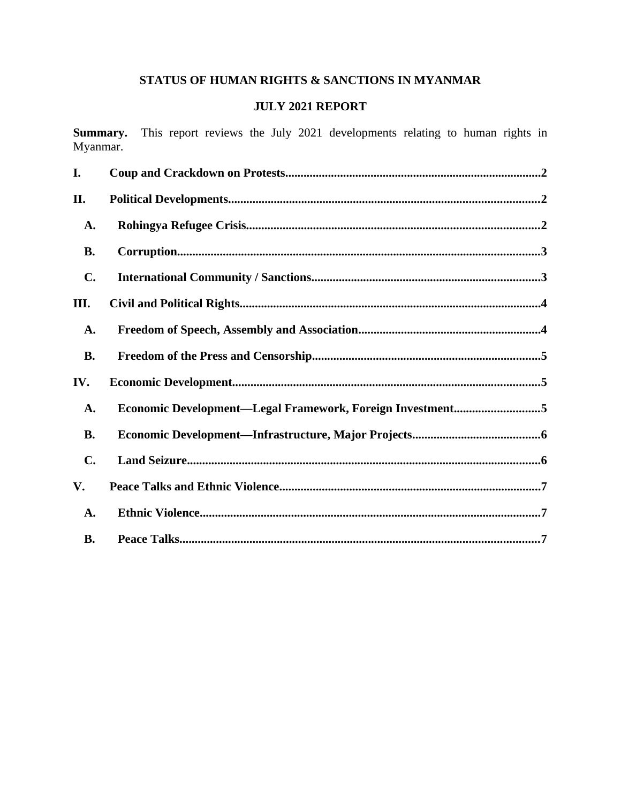# STATUS OF HUMAN RIGHTS & SANCTIONS IN MYANMAR

# **JULY 2021 REPORT**

Summary. This report reviews the July 2021 developments relating to human rights in Myanmar.

| I.        |                                                           |
|-----------|-----------------------------------------------------------|
| II.       |                                                           |
| A.        |                                                           |
| <b>B.</b> |                                                           |
| C.        |                                                           |
| III.      |                                                           |
| A.        |                                                           |
| <b>B.</b> |                                                           |
| IV.       |                                                           |
| A.        | Economic Development-Legal Framework, Foreign Investment5 |
| <b>B.</b> |                                                           |
| C.        |                                                           |
| V.        |                                                           |
| A.        |                                                           |
| <b>B.</b> |                                                           |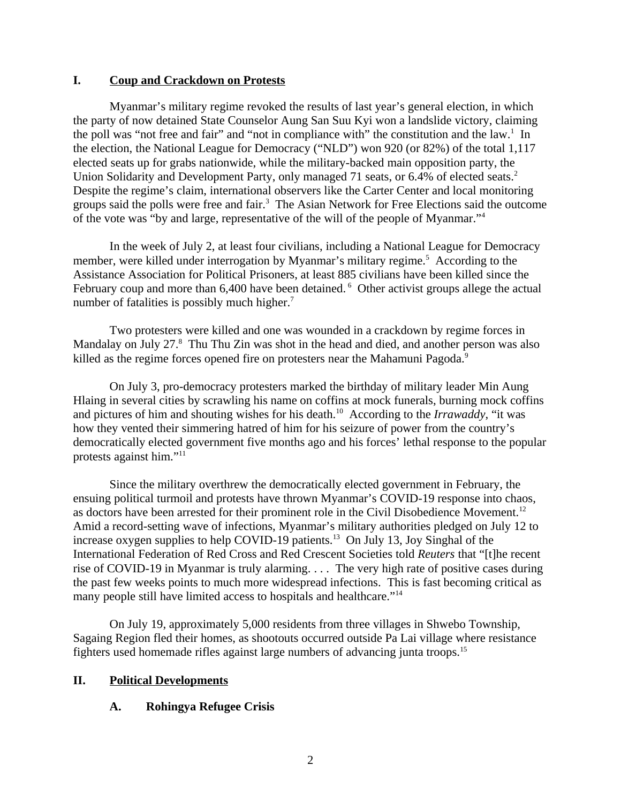#### <span id="page-1-0"></span>**I. Coup and Crackdown on Protests**

Myanmar's military regime revoked the results of last year's general election, in which the party of now detained State Counselor Aung San Suu Kyi won a landslide victory, claiming the poll was "not free and fair" and "not in compliance with" the constitution and the law.<sup>1</sup> In the election, the National League for Democracy ("NLD") won 920 (or 82%) of the total 1,117 elected seats up for grabs nationwide, while the military-backed main opposition party, the Union Solidarity and Development Party, only managed 71 seats, or 6.4% of elected seats.<sup>2</sup> Despite the regime's claim, international observers like the Carter Center and local monitoring groups said the polls were free and fair.<sup>3</sup> The Asian Network for Free Elections said the outcome of the vote was "by and large, representative of the will of the people of Myanmar."<sup>4</sup>

In the week of July 2, at least four civilians, including a National League for Democracy member, were killed under interrogation by Myanmar's military regime.<sup>5</sup> According to the Assistance Association for Political Prisoners, at least 885 civilians have been killed since the February coup and more than 6,400 have been detained. <sup>6</sup> Other activist groups allege the actual number of fatalities is possibly much higher.<sup>7</sup>

Two protesters were killed and one was wounded in a crackdown by regime forces in Mandalay on July 27.<sup>8</sup> Thu Thu Zin was shot in the head and died, and another person was also killed as the regime forces opened fire on protesters near the Mahamuni Pagoda.<sup>9</sup>

On July 3, pro-democracy protesters marked the birthday of military leader Min Aung Hlaing in several cities by scrawling his name on coffins at mock funerals, burning mock coffins and pictures of him and shouting wishes for his death.<sup>10</sup> According to the *Irrawaddy*, "it was how they vented their simmering hatred of him for his seizure of power from the country's democratically elected government five months ago and his forces' lethal response to the popular protests against him."<sup>11</sup>

Since the military overthrew the democratically elected government in February, the ensuing political turmoil and protests have thrown Myanmar's COVID-19 response into chaos, as doctors have been arrested for their prominent role in the Civil Disobedience Movement.<sup>12</sup> Amid a record-setting wave of infections, Myanmar's military authorities pledged on July 12 to increase oxygen supplies to help COVID-19 patients.<sup>13</sup> On July 13, Joy Singhal of the International Federation of Red Cross and Red Crescent Societies told *Reuters* that "[t]he recent rise of COVID-19 in Myanmar is truly alarming. . . . The very high rate of positive cases during the past few weeks points to much more widespread infections. This is fast becoming critical as many people still have limited access to hospitals and healthcare."<sup>14</sup>

On July 19, approximately 5,000 residents from three villages in Shwebo Township, Sagaing Region fled their homes, as shootouts occurred outside Pa Lai village where resistance fighters used homemade rifles against large numbers of advancing junta troops.<sup>15</sup>

## **II. Political Developments**

## <span id="page-1-2"></span><span id="page-1-1"></span>**A. Rohingya Refugee Crisis**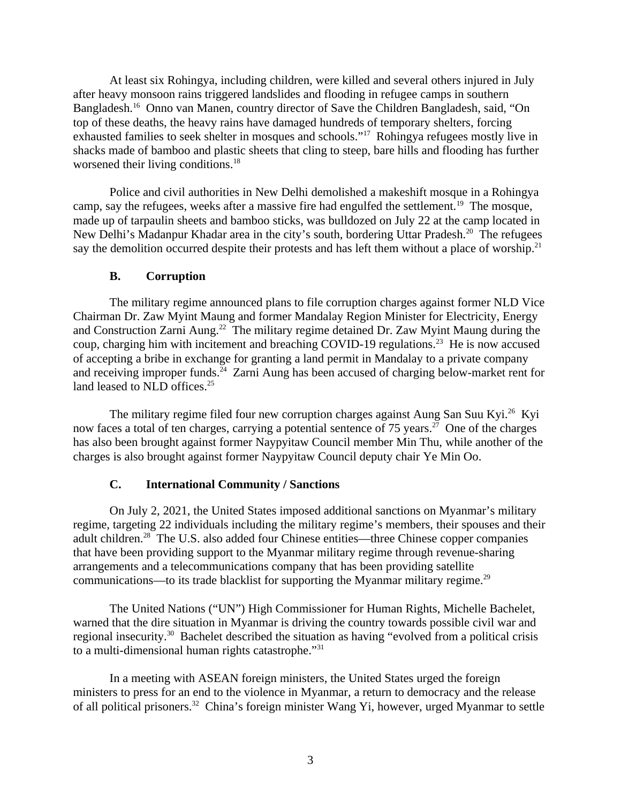At least six Rohingya, including children, were killed and several others injured in July after heavy monsoon rains triggered landslides and flooding in refugee camps in southern Bangladesh.<sup>16</sup> Onno van Manen, country director of Save the Children Bangladesh, said, "On top of these deaths, the heavy rains have damaged hundreds of temporary shelters, forcing exhausted families to seek shelter in mosques and schools."<sup>17</sup> Rohingya refugees mostly live in shacks made of bamboo and plastic sheets that cling to steep, bare hills and flooding has further worsened their living conditions.<sup>18</sup>

Police and civil authorities in New Delhi demolished a makeshift mosque in a Rohingya camp, say the refugees, weeks after a massive fire had engulfed the settlement.<sup>19</sup> The mosque, made up of tarpaulin sheets and bamboo sticks, was bulldozed on July 22 at the camp located in New Delhi's Madanpur Khadar area in the city's south, bordering Uttar Pradesh.<sup>20</sup> The refugees say the demolition occurred despite their protests and has left them without a place of worship.<sup>21</sup>

#### <span id="page-2-1"></span>**B. Corruption**

The military regime announced plans to file corruption charges against former NLD Vice Chairman Dr. Zaw Myint Maung and former Mandalay Region Minister for Electricity, Energy and Construction Zarni Aung.<sup>22</sup> The military regime detained Dr. Zaw Myint Maung during the coup, charging him with incitement and breaching COVID-19 regulations.<sup>23</sup> He is now accused of accepting a bribe in exchange for granting a land permit in Mandalay to a private company and receiving improper funds.<sup>24</sup> Zarni Aung has been accused of charging below-market rent for land leased to  $NLD$  offices.<sup>25</sup>

The military regime filed four new corruption charges against Aung San Suu Kyi.<sup>26</sup> Kyi now faces a total of ten charges, carrying a potential sentence of 75 years.<sup>27</sup> One of the charges has also been brought against former Naypyitaw Council member Min Thu, while another of the charges is also brought against former Naypyitaw Council deputy chair Ye Min Oo.

## <span id="page-2-0"></span>**C. International Community / Sanctions**

On July 2, 2021, the United States imposed additional sanctions on Myanmar's military regime, targeting 22 individuals including the military regime's members, their spouses and their adult children.<sup>28</sup> The U.S. also added four Chinese entities—three Chinese copper companies that have been providing support to the Myanmar military regime through revenue-sharing arrangements and a telecommunications company that has been providing satellite communications—to its trade blacklist for supporting the Myanmar military regime. $^{29}$ 

The United Nations ("UN") High Commissioner for Human Rights, Michelle Bachelet, warned that the dire situation in Myanmar is driving the country towards possible civil war and regional insecurity.<sup>30</sup> Bachelet described the situation as having "evolved from a political crisis to a multi-dimensional human rights catastrophe."<sup>31</sup>

In a meeting with ASEAN foreign ministers, the United States urged the foreign ministers to press for an end to the violence in Myanmar, a return to democracy and the release of all political prisoners.<sup>32</sup> China's foreign minister Wang Yi, however, urged Myanmar to settle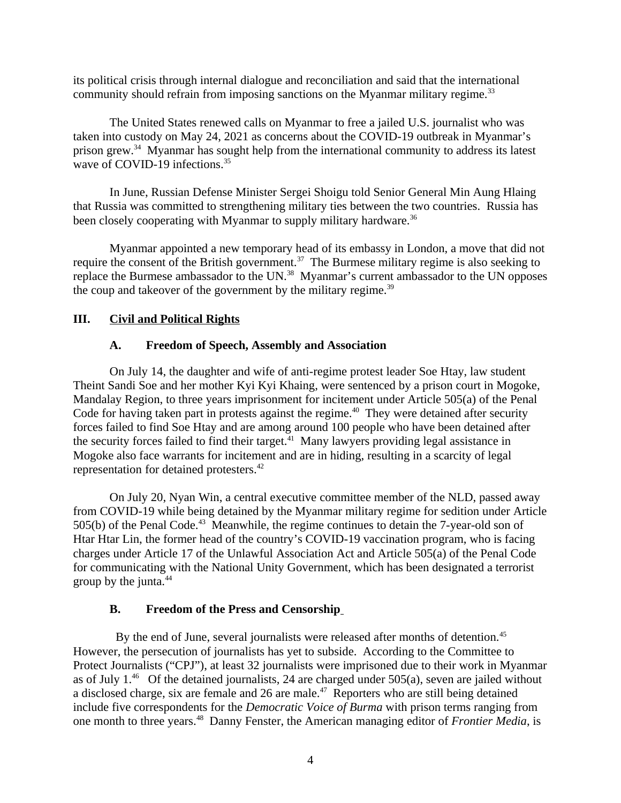its political crisis through internal dialogue and reconciliation and said that the international community should refrain from imposing sanctions on the Myanmar military regime.<sup>33</sup>

The United States renewed calls on Myanmar to free a jailed U.S. journalist who was taken into custody on May 24, 2021 as concerns about the COVID-19 outbreak in Myanmar's prison grew.<sup>34</sup> Myanmar has sought help from the international community to address its latest wave of COVID-19 infections.<sup>35</sup>

In June, Russian Defense Minister Sergei Shoigu told Senior General Min Aung Hlaing that Russia was committed to strengthening military ties between the two countries. Russia has been closely cooperating with Myanmar to supply military hardware.<sup>36</sup>

Myanmar appointed a new temporary head of its embassy in London, a move that did not require the consent of the British government.<sup>37</sup> The Burmese military regime is also seeking to replace the Burmese ambassador to the UN.<sup>38</sup> Myanmar's current ambassador to the UN opposes the coup and takeover of the government by the military regime. $39$ 

## **III. Civil and Political Rights**

### <span id="page-3-2"></span><span id="page-3-1"></span>**A. Freedom of Speech, Assembly and Association**

On July 14, the daughter and wife of anti-regime protest leader Soe Htay, law student Theint Sandi Soe and her mother Kyi Kyi Khaing, were sentenced by a prison court in Mogoke, Mandalay Region, to three years imprisonment for incitement under Article 505(a) of the Penal Code for having taken part in protests against the regime.<sup>40</sup> They were detained after security forces failed to find Soe Htay and are among around 100 people who have been detained after the security forces failed to find their target. $41$  Many lawyers providing legal assistance in Mogoke also face warrants for incitement and are in hiding, resulting in a scarcity of legal representation for detained protesters.<sup>42</sup>

On July 20, Nyan Win, a central executive committee member of the NLD, passed away from COVID-19 while being detained by the Myanmar military regime for sedition under Article 505(b) of the Penal Code.<sup>43</sup> Meanwhile, the regime continues to detain the 7-year-old son of Htar Htar Lin, the former head of the country's COVID-19 vaccination program, who is facing charges under Article 17 of the Unlawful Association Act and Article 505(a) of the Penal Code for communicating with the National Unity Government, which has been designated a terrorist group by the junta.<sup>44</sup>

#### <span id="page-3-0"></span>**B. Freedom of the Press and Censorship**

By the end of June, several journalists were released after months of detention.<sup>45</sup> However, the persecution of journalists has yet to subside. According to the Committee to Protect Journalists ("CPJ"), at least 32 journalists were imprisoned due to their work in Myanmar as of July 1.<sup>46</sup> Of the detained journalists, 24 are charged under 505(a), seven are jailed without a disclosed charge, six are female and 26 are male.<sup>47</sup> Reporters who are still being detained include five correspondents for the *Democratic Voice of Burma* with prison terms ranging from one month to three years.<sup>48</sup> Danny Fenster, the American managing editor of *Frontier Media*, is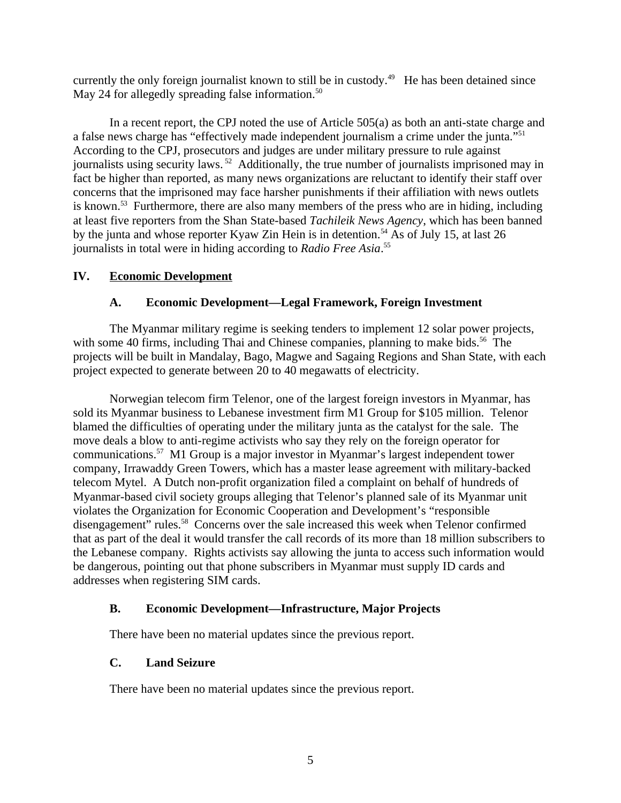currently the only foreign journalist known to still be in custody.<sup>49</sup> He has been detained since May 24 for allegedly spreading false information.<sup>50</sup>

In a recent report, the CPJ noted the use of Article 505(a) as both an anti-state charge and a false news charge has "effectively made independent journalism a crime under the junta."<sup>51</sup> According to the CPJ, prosecutors and judges are under military pressure to rule against journalists using security laws.<sup>52</sup> Additionally, the true number of journalists imprisoned may in fact be higher than reported, as many news organizations are reluctant to identify their staff over concerns that the imprisoned may face harsher punishments if their affiliation with news outlets is known.<sup>53</sup> Furthermore, there are also many members of the press who are in hiding, including at least five reporters from the Shan State-based *Tachileik News Agency*, which has been banned by the junta and whose reporter Kyaw Zin Hein is in detention.<sup>54</sup> As of July 15, at last 26 journalists in total were in hiding according to *Radio Free Asia*. 55

## **IV. Economic Development**

### <span id="page-4-3"></span><span id="page-4-2"></span>**A. Economic Development—Legal Framework, Foreign Investment**

The Myanmar military regime is seeking tenders to implement 12 solar power projects, with some 40 firms, including Thai and Chinese companies, planning to make bids.<sup>56</sup> The projects will be built in Mandalay, Bago, Magwe and Sagaing Regions and Shan State, with each project expected to generate between 20 to 40 megawatts of electricity.

Norwegian telecom firm Telenor, one of the largest foreign investors in Myanmar, has sold its Myanmar business to Lebanese investment firm M1 Group for \$105 million. Telenor blamed the difficulties of operating under the military junta as the catalyst for the sale. The move deals a blow to anti-regime activists who say they rely on the foreign operator for communications.<sup>57</sup> M1 Group is a major investor in Myanmar's largest independent tower company, Irrawaddy Green Towers, which has a master lease agreement with military-backed telecom Mytel. A Dutch non-profit organization filed a complaint on behalf of hundreds of Myanmar-based civil society groups alleging that Telenor's planned sale of its Myanmar unit violates the Organization for Economic Cooperation and Development's "responsible disengagement" rules.<sup>58</sup> Concerns over the sale increased this week when Telenor confirmed that as part of the deal it would transfer the call records of its more than 18 million subscribers to the Lebanese company. Rights activists say allowing the junta to access such information would be dangerous, pointing out that phone subscribers in Myanmar must supply ID cards and addresses when registering SIM cards.

## <span id="page-4-1"></span>**B. Economic Development—Infrastructure, Major Projects**

There have been no material updates since the previous report.

#### <span id="page-4-0"></span>**C. Land Seizure**

There have been no material updates since the previous report.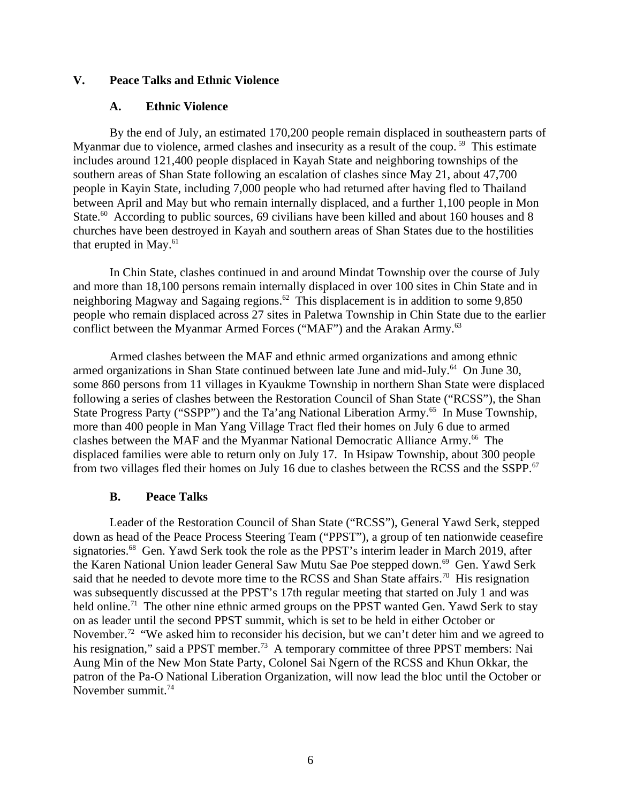#### **V. Peace Talks and Ethnic Violence**

#### <span id="page-5-2"></span><span id="page-5-1"></span>**A. Ethnic Violence**

By the end of July, an estimated 170,200 people remain displaced in southeastern parts of Myanmar due to violence, armed clashes and insecurity as a result of the coup.<sup>59</sup> This estimate includes around 121,400 people displaced in Kayah State and neighboring townships of the southern areas of Shan State following an escalation of clashes since May 21, about 47,700 people in Kayin State, including 7,000 people who had returned after having fled to Thailand between April and May but who remain internally displaced, and a further 1,100 people in Mon State.<sup>60</sup> According to public sources, 69 civilians have been killed and about 160 houses and 8 churches have been destroyed in Kayah and southern areas of Shan States due to the hostilities that erupted in May. $61$ 

In Chin State, clashes continued in and around Mindat Township over the course of July and more than 18,100 persons remain internally displaced in over 100 sites in Chin State and in neighboring Magway and Sagaing regions.<sup>62</sup> This displacement is in addition to some 9,850 people who remain displaced across 27 sites in Paletwa Township in Chin State due to the earlier conflict between the Myanmar Armed Forces ("MAF") and the Arakan Army.<sup>63</sup>

Armed clashes between the MAF and ethnic armed organizations and among ethnic armed organizations in Shan State continued between late June and mid-July.<sup>64</sup> On June 30, some 860 persons from 11 villages in Kyaukme Township in northern Shan State were displaced following a series of clashes between the Restoration Council of Shan State ("RCSS"), the Shan State Progress Party ("SSPP") and the Ta'ang National Liberation Army.<sup>65</sup> In Muse Township, more than 400 people in Man Yang Village Tract fled their homes on July 6 due to armed clashes between the MAF and the Myanmar National Democratic Alliance Army.<sup>66</sup> The displaced families were able to return only on July 17. In Hsipaw Township, about 300 people from two villages fled their homes on July 16 due to clashes between the RCSS and the SSPP.<sup>67</sup>

#### <span id="page-5-0"></span>**B. Peace Talks**

Leader of the Restoration Council of Shan State ("RCSS"), General Yawd Serk, stepped down as head of the Peace Process Steering Team ("PPST"), a group of ten nationwide ceasefire signatories.<sup>68</sup> Gen. Yawd Serk took the role as the PPST's interim leader in March 2019, after the Karen National Union leader General Saw Mutu Sae Poe stepped down.<sup>69</sup> Gen. Yawd Serk said that he needed to devote more time to the RCSS and Shan State affairs.<sup>70</sup> His resignation was subsequently discussed at the PPST's 17th regular meeting that started on July 1 and was held online.<sup>71</sup> The other nine ethnic armed groups on the PPST wanted Gen. Yawd Serk to stay on as leader until the second PPST summit, which is set to be held in either October or November.<sup>72</sup> "We asked him to reconsider his decision, but we can't deter him and we agreed to his resignation," said a PPST member.<sup>73</sup> A temporary committee of three PPST members: Nai Aung Min of the New Mon State Party, Colonel Sai Ngern of the RCSS and Khun Okkar, the patron of the Pa-O National Liberation Organization, will now lead the bloc until the October or November summit.<sup>74</sup>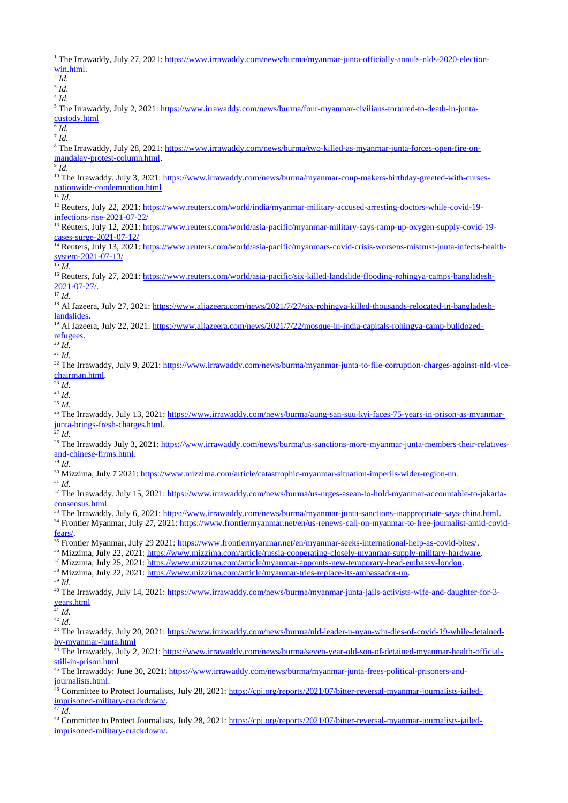<sup>1</sup> The Irrawaddy, July 27, 2021: [https://www.irrawaddy.com/news/burma/myanmar-junta-officially-annuls-nlds-2020-election](https://www.irrawaddy.com/news/burma/myanmar-junta-officially-annuls-nlds-2020-election-win.html)[win.html.](https://www.irrawaddy.com/news/burma/myanmar-junta-officially-annuls-nlds-2020-election-win.html) 2 *Id*. 3 *Id*. 4 *Id*. <sup>5</sup> The Irrawaddy, July 2, 2021: <u>https://www.irrawaddy.com/news/burma/four-myanmar-civilians-tortured-to-death-in-junta-</u> [custody.html](https://www.irrawaddy.com/news/burma/four-myanmar-civilians-tortured-to-death-in-junta-custody.html) 6 *Id.*  7 *Id.* <sup>8</sup> The Irrawaddy, July 28, 2021: <u>https://www.irrawaddy.com/news/burma/two-killed-as-myanmar-junta-forces-open-fire-on-</u> [mandalay-protest-column.html.](https://www.irrawaddy.com/news/burma/two-killed-as-myanmar-junta-forces-open-fire-on-mandalay-protest-column.html) 9 *Id*. <sup>10</sup> The Irrawaddy, July 3, 2021: [https://www.irrawaddy.com/news/burma/myanmar-coup-makers-birthday-greeted-with-curses](https://www.irrawaddy.com/news/burma/myanmar-coup-makers-birthday-greeted-with-curses-nationwide-condemnation.html)[nationwide-condemnation.html](https://www.irrawaddy.com/news/burma/myanmar-coup-makers-birthday-greeted-with-curses-nationwide-condemnation.html)  $\overline{^{11}Id.}$ <sup>12</sup> Reuters, July 22, 2021: [https://www.reuters.com/world/india/myanmar-military-accused-arresting-doctors-while-covid-19](https://www.reuters.com/world/india/myanmar-military-accused-arresting-doctors-while-covid-19-infections-rise-2021-07-22/) [infections-rise-2021-07-22/](https://www.reuters.com/world/india/myanmar-military-accused-arresting-doctors-while-covid-19-infections-rise-2021-07-22/) <sup>13</sup> Reuters, July 12, 2021: [https://www.reuters.com/world/asia-pacific/myanmar-military-says-ramp-up-oxygen-supply-covid-19](https://www.reuters.com/world/asia-pacific/myanmar-military-says-ramp-up-oxygen-supply-covid-19-cases-surge-2021-07-12/) [cases-surge-2021-07-12/](https://www.reuters.com/world/asia-pacific/myanmar-military-says-ramp-up-oxygen-supply-covid-19-cases-surge-2021-07-12/) <sup>14</sup> Reuters, July 13, 2021: [https://www.reuters.com/world/asia-pacific/myanmars-covid-crisis-worsens-mistrust-junta-infects-health](https://www.reuters.com/world/asia-pacific/myanmars-covid-crisis-worsens-mistrust-junta-infects-health-system-2021-07-13/)[system-2021-07-13/](https://www.reuters.com/world/asia-pacific/myanmars-covid-crisis-worsens-mistrust-junta-infects-health-system-2021-07-13/)  $\overline{\phantom{a}^{15}}$  *Id.* <sup>16</sup> Reuters, July 27, 2021: [https://www.reuters.com/world/asia-pacific/six-killed-landslide-flooding-rohingya-camps-bangladesh-](https://www.reuters.com/world/asia-pacific/six-killed-landslide-flooding-rohingya-camps-bangladesh-2021-07-27/)[2021-07-27/.](https://www.reuters.com/world/asia-pacific/six-killed-landslide-flooding-rohingya-camps-bangladesh-2021-07-27/)  $17 \overline{Id}$ <sup>18</sup> Al Jazeera, July 27, 2021: [https://www.aljazeera.com/news/2021/7/27/six-rohingya-killed-thousands-relocated-in-bangladesh](https://www.aljazeera.com/news/2021/7/27/six-rohingya-killed-thousands-relocated-in-bangladesh-landslides)[landslides.](https://www.aljazeera.com/news/2021/7/27/six-rohingya-killed-thousands-relocated-in-bangladesh-landslides) <sup>19</sup> Al Jazeera, July 22, 2021: [https://www.aljazeera.com/news/2021/7/22/mosque-in-india-capitals-rohingya-camp-bulldozed](https://www.aljazeera.com/news/2021/7/22/mosque-in-india-capitals-rohingya-camp-bulldozed-refugees)[refugees.](https://www.aljazeera.com/news/2021/7/22/mosque-in-india-capitals-rohingya-camp-bulldozed-refugees)  $^{20}$  *Id.* <sup>21</sup> *Id*. <sup>22</sup> The Irrawaddy, July 9, 2021: [https://www.irrawaddy.com/news/burma/myanmar-junta-to-file-corruption-charges-against-nld-vice](https://www.irrawaddy.com/news/burma/myanmar-junta-to-file-corruption-charges-against-nld-vice-chairman.html)[chairman.html.](https://www.irrawaddy.com/news/burma/myanmar-junta-to-file-corruption-charges-against-nld-vice-chairman.html) <sup>23</sup> *Id.* <sup>24</sup> *Id.* <sup>25</sup> *Id.* <sup>26</sup> The Irrawaddy, July 13, 2021: [https://www.irrawaddy.com/news/burma/aung-san-suu-kyi-faces-75-years-in-prison-as-myanmar](https://www.irrawaddy.com/news/burma/aung-san-suu-kyi-faces-75-years-in-prison-as-myanmar-junta-brings-fresh-charges.html)[junta-brings-fresh-charges.html.](https://www.irrawaddy.com/news/burma/aung-san-suu-kyi-faces-75-years-in-prison-as-myanmar-junta-brings-fresh-charges.html)  $^{27}$  *Id.* <sup>28</sup> The Irrawaddy July 3, 2021: [https://www.irrawaddy.com/news/burma/us-sanctions-more-myanmar-junta-members-their-relatives](https://www.irrawaddy.com/news/burma/us-sanctions-more-myanmar-junta-members-their-relatives-and-chinese-firms.html)[and-chinese-firms.html.](https://www.irrawaddy.com/news/burma/us-sanctions-more-myanmar-junta-members-their-relatives-and-chinese-firms.html)  $^{29}$  *Id.* <sup>30</sup> Mizzima, July 7 2021: [https://www.mizzima.com/article/catastrophic-myanmar-situation-imperils-wider-region-un.](https://www.mizzima.com/article/catastrophic-myanmar-situation-imperils-wider-region-un) <sup>31</sup> *Id.* <sup>32</sup> The Irrawaddy, July 15, 2021: [https://www.irrawaddy.com/news/burma/us-urges-asean-to-hold-myanmar-accountable-to-jakarta](https://www.irrawaddy.com/news/burma/us-urges-asean-to-hold-myanmar-accountable-to-jakarta-consensus.html)[consensus.html.](https://www.irrawaddy.com/news/burma/us-urges-asean-to-hold-myanmar-accountable-to-jakarta-consensus.html) 33 The Irrawaddy, July 6, 2021: [https://www.irrawaddy.com/news/burma/myanmar-junta-sanctions-inappropriate-says-china.html.](https://www.irrawaddy.com/news/burma/myanmar-junta-sanctions-inappropriate-says-china.html) <sup>34</sup> Frontier Myanmar, July 27, 2021: [https://www.frontiermyanmar.net/en/us-renews-call-on-myanmar-to-free-journalist-amid-covid](https://www.frontiermyanmar.net/en/us-renews-call-on-myanmar-to-free-journalist-amid-covid-fears/)[fears/.](https://www.frontiermyanmar.net/en/us-renews-call-on-myanmar-to-free-journalist-amid-covid-fears/) <sup>35</sup> Frontier Myanmar, July 29 2021: [https://www.frontiermyanmar.net/en/myanmar-seeks-international-help-as-covid-bites/.](https://www.frontiermyanmar.net/en/myanmar-seeks-international-help-as-covid-bites/) <sup>36</sup> Mizzima, July 22, 2021: [https://www.mizzima.com/article/russia-cooperating-closely-myanmar-supply-military-hardware.](https://www.mizzima.com/article/russia-cooperating-closely-myanmar-supply-military-hardware) <sup>37</sup> Mizzima, July 25, 2021: [https://www.mizzima.com/article/myanmar-appoints-new-temporary-head-embassy-london.](https://www.mizzima.com/article/myanmar-appoints-new-temporary-head-embassy-london) <sup>38</sup> Mizzima, July 22, 2021: [https://www.mizzima.com/article/myanmar-tries-replace-its-ambassador-un.](https://www.mizzima.com/article/myanmar-tries-replace-its-ambassador-un) <sup>39</sup> *Id.* <sup>40</sup> The Irrawaddy, July 14, 2021: [https://www.irrawaddy.com/news/burma/myanmar-junta-jails-activists-wife-and-daughter-for-3](https://www.irrawaddy.com/news/burma/myanmar-junta-jails-activists-wife-and-daughter-for-3-years.html) [years.html](https://www.irrawaddy.com/news/burma/myanmar-junta-jails-activists-wife-and-daughter-for-3-years.html)  $\overline{^{41}$  *Id.* <sup>42</sup> *Id.* <sup>43</sup> The Irrawaddy, July 20, 2021: [https://www.irrawaddy.com/news/burma/nld-leader-u-nyan-win-dies-of-covid-19-while-detained](https://www.irrawaddy.com/news/burma/nld-leader-u-nyan-win-dies-of-covid-19-while-detained-by-myanmar-junta.html)[by-myanmar-junta.html](https://www.irrawaddy.com/news/burma/nld-leader-u-nyan-win-dies-of-covid-19-while-detained-by-myanmar-junta.html) <sup>44</sup> The Irrawaddy, July 2, 2021: [https://www.irrawaddy.com/news/burma/seven-year-old-son-of-detained-myanmar-health-official](https://www.irrawaddy.com/news/burma/seven-year-old-son-of-detained-myanmar-health-official-still-in-prison.html)[still-in-prison.html](https://www.irrawaddy.com/news/burma/seven-year-old-son-of-detained-myanmar-health-official-still-in-prison.html) <sup>45</sup> The Irrawaddy: June 30, 2021: <u>https://www.irrawaddy.com/news/burma/myanmar-junta-frees-political-prisoners-and-</u> [journalists.html.](https://www.irrawaddy.com/news/burma/myanmar-junta-frees-political-prisoners-and-journalists.html) <sup>46</sup> Committee to Protect Journalists, July 28, 2021: [https://cpj.org/reports/2021/07/bitter-reversal-myanmar-journalists-jailed](https://cpj.org/reports/2021/07/bitter-reversal-myanmar-journalists-jailed-imprisoned-military-crackdown/)[imprisoned-military-crackdown/.](https://cpj.org/reports/2021/07/bitter-reversal-myanmar-journalists-jailed-imprisoned-military-crackdown/)  $\overline{47}$  *Id.* <sup>48</sup> Committee to Protect Journalists, July 28, 2021: [https://cpj.org/reports/2021/07/bitter-reversal-myanmar-journalists-jailed](https://cpj.org/reports/2021/07/bitter-reversal-myanmar-journalists-jailed-imprisoned-military-crackdown/)[imprisoned-military-crackdown/.](https://cpj.org/reports/2021/07/bitter-reversal-myanmar-journalists-jailed-imprisoned-military-crackdown/)